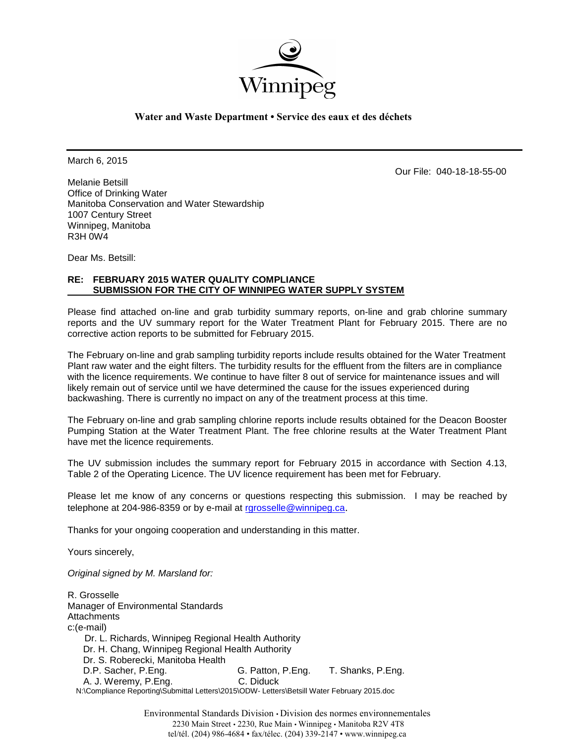

## **Water and Waste Department • Service des eaux et des déchets**

March 6, 2015

Our File: 040-18-18-55-00

Melanie Betsill Office of Drinking Water Manitoba Conservation and Water Stewardship 1007 Century Street Winnipeg, Manitoba R3H 0W4

Dear Ms. Betsill:

# **RE: FEBRUARY 2015 WATER QUALITY COMPLIANCE SUBMISSION FOR THE CITY OF WINNIPEG WATER SUPPLY SYSTEM**

Please find attached on-line and grab turbidity summary reports, on-line and grab chlorine summary reports and the UV summary report for the Water Treatment Plant for February 2015. There are no corrective action reports to be submitted for February 2015.

The February on-line and grab sampling turbidity reports include results obtained for the Water Treatment Plant raw water and the eight filters. The turbidity results for the effluent from the filters are in compliance with the licence requirements. We continue to have filter 8 out of service for maintenance issues and will likely remain out of service until we have determined the cause for the issues experienced during backwashing. There is currently no impact on any of the treatment process at this time.

The February on-line and grab sampling chlorine reports include results obtained for the Deacon Booster Pumping Station at the Water Treatment Plant. The free chlorine results at the Water Treatment Plant have met the licence requirements.

The UV submission includes the summary report for February 2015 in accordance with Section 4.13, Table 2 of the Operating Licence. The UV licence requirement has been met for February.

Please let me know of any concerns or questions respecting this submission. I may be reached by telephone at 204-986-8359 or by e-mail at [rgrosselle@winnipeg.ca](mailto:rgrosselle@winnipeg.ca).

Thanks for your ongoing cooperation and understanding in this matter.

Yours sincerely,

*Original signed by M. Marsland for:*

R. Grosselle Manager of Environmental Standards **Attachments** c:(e-mail) Dr. L. Richards, Winnipeg Regional Health Authority Dr. H. Chang, Winnipeg Regional Health Authority Dr. S. Roberecki, Manitoba Health D.P. Sacher, P.Eng. G. Patton, P.Eng. T. Shanks, P.Eng. A. J. Weremy, P.Eng. C. Diduck N:\Compliance Reporting\Submittal Letters\2015\ODW- Letters\Betsill Water February 2015.doc

> Environmental Standards Division • Division des normes environnementales 2230 Main Street • 2230, Rue Main • Winnipeg • Manitoba R2V 4T8 tel/tél. (204) 986-4684 • fax/télec. (204) 339-2147 • www.winnipeg.ca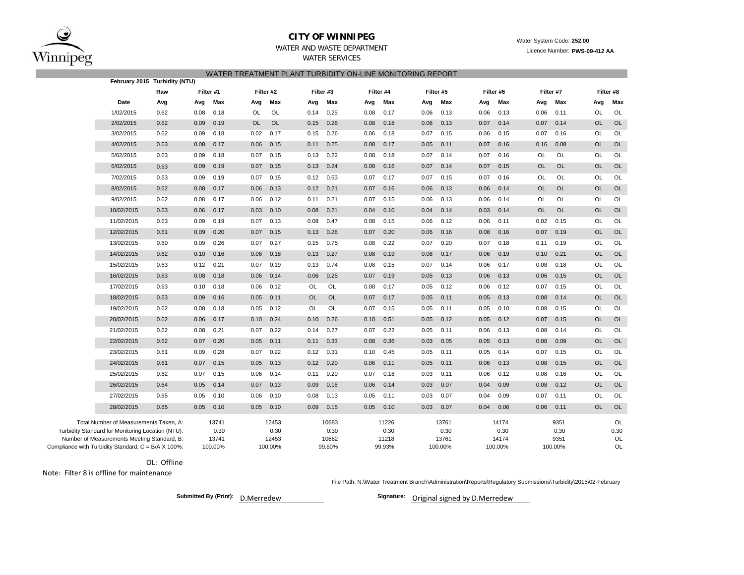

### **CITY OF WINNIPEG**

#### WATER AND WASTE DEPARTMENT

WATER SERVICES

#### Water System Code: **252.00** Licence Number: **PWS-09-412 AA**

#### WATER TREATMENT PLANT TURBIDITY ON-LINE MONITORING REPORT

|                                                                                                  | February 2015 Turbidity (NTU) |      |               |           |               |           |               |      |               |      |               |           |               |           |              |           |            |
|--------------------------------------------------------------------------------------------------|-------------------------------|------|---------------|-----------|---------------|-----------|---------------|------|---------------|------|---------------|-----------|---------------|-----------|--------------|-----------|------------|
|                                                                                                  | Raw                           |      | Filter #1     |           | Filter #2     | Filter #3 |               |      | Filter #4     |      | Filter #5     | Filter #6 |               |           | Filter #7    |           | Filter #8  |
| Date                                                                                             | Avg                           | Avg  | Max           | Avg       | Max           | Avg       | Max           | Avg  | Max           | Avg  | Max           | Avg       | Max           | Avg       | Max          | Avg       | Max        |
| 1/02/2015                                                                                        | 0.62                          | 0.08 | 0.18          | OL        | OL            | 0.14      | 0.25          | 0.08 | 0.17          | 0.06 | 0.13          | 0.06      | 0.13          | 0.06      | 0.11         | OL        | OL         |
| 2/02/2015                                                                                        | 0.62                          | 0.09 | 0.19          | <b>OL</b> | <b>OL</b>     | 0.15      | 0.26          | 0.08 | 0.18          | 0.06 | 0.13          | 0.07      | 0.14          | 0.07      | 0.14         | <b>OL</b> | <b>OL</b>  |
| 3/02/2015                                                                                        | 0.62                          | 0.09 | 0.18          | 0.02      | 0.17          | 0.15      | 0.26          | 0.06 | 0.18          | 0.07 | 0.15          | 0.06      | 0.15          | 0.07      | 0.16         | OL        | OL         |
| 4/02/2015                                                                                        | 0.63                          | 0.08 | 0.17          | 0.06      | 0.15          | 0.11      | 0.25          | 0.08 | 0.17          | 0.05 | 0.11          | 0.07      | 0.16          | 0.16      | 0.08         | <b>OL</b> | OL         |
| 5/02/2015                                                                                        | 0.63                          | 0.09 | 0.18          | 0.07      | 0.15          | 0.13      | 0.22          | 0.08 | 0.18          | 0.07 | 0.14          | 0.07      | 0.16          | OL        | OL           | OL        | OL         |
| 6/02/2015                                                                                        | 0.63                          | 0.09 | 0.19          | 0.07      | 0.15          | 0.13      | 0.24          | 0.08 | 0.16          | 0.07 | 0.14          | 0.07      | 0.15          | <b>OL</b> | <b>OL</b>    | <b>OL</b> | <b>OL</b>  |
| 7/02/2015                                                                                        | 0.63                          | 0.09 | 0.19          | 0.07      | 0.15          | 0.12      | 0.53          | 0.07 | 0.17          | 0.07 | 0.15          | 0.07      | 0.16          | OL        | OL           | OL        | OL         |
| 8/02/2015                                                                                        | 0.62                          | 0.08 | 0.17          | 0.06      | 0.13          | 0.12      | 0.21          | 0.07 | 0.16          | 0.06 | 0.13          | 0.06      | 0.14          | OL        | <b>OL</b>    | <b>OL</b> | OL         |
| 9/02/2015                                                                                        | 0.62                          | 0.08 | 0.17          | 0.06      | 0.12          | 0.11      | 0.21          | 0.07 | 0.15          | 0.06 | 0.13          | 0.06      | 0.14          | OL        | OL           | OL        | OL         |
| 10/02/2015                                                                                       | 0.63                          | 0.06 | 0.17          | 0.03      | 0.10          | 0.08      | 0.21          | 0.04 | 0.10          | 0.04 | 0.14          | 0.03      | 0.14          | <b>OL</b> | <b>OL</b>    | <b>OL</b> | <b>OL</b>  |
| 11/02/2015                                                                                       | 0.63                          | 0.09 | 0.19          | 0.07      | 0.13          | 0.08      | 0.47          | 0.08 | 0.15          | 0.06 | 0.12          | 0.06      | 0.11          | 0.02      | 0.15         | OL        | OL         |
| 12/02/2015                                                                                       | 0.61                          | 0.09 | 0.20          | 0.07      | 0.15          | 0.13      | 0.26          | 0.07 | 0.20          | 0.06 | 0.16          | 0.08      | 0.16          | 0.07      | 0.19         | OL        | <b>OL</b>  |
| 13/02/2015                                                                                       | 0.60                          | 0.09 | 0.26          | 0.07      | 0.27          | 0.15      | 0.75          | 0.08 | 0.22          | 0.07 | 0.20          | 0.07      | 0.18          | 0.11      | 0.19         | OL        | OL         |
| 14/02/2015                                                                                       | 0.62                          | 0.10 | 0.16          | 0.06      | 0.18          | 0.13      | 0.27          | 0.08 | 0.19          | 0.08 | 0.17          | 0.06      | 0.19          | 0.10      | 0.21         | <b>OL</b> | OL         |
| 15/02/2015                                                                                       | 0.63                          | 0.12 | 0.21          | 0.07      | 0.19          | 0.13      | 0.74          | 0.08 | 0.15          | 0.07 | 0.14          | 0.06      | 0.17          | 0.08      | 0.18         | OL        | OL         |
| 16/02/2015                                                                                       | 0.63                          | 0.08 | 0.18          | 0.06      | 0.14          | 0.06      | 0.25          | 0.07 | 0.19          | 0.05 | 0.13          | 0.06      | 0.13          | 0.06      | 0.15         | <b>OL</b> | <b>OL</b>  |
| 17/02/2015                                                                                       | 0.63                          | 0.10 | 0.18          | 0.06      | 0.12          | OL        | OL            | 0.08 | 0.17          | 0.05 | 0.12          | 0.06      | 0.12          | 0.07      | 0.15         | OL        | OL         |
| 18/02/2015                                                                                       | 0.63                          | 0.09 | 0.16          | 0.05      | 0.11          | OL        | <b>OL</b>     | 0.07 | 0.17          | 0.05 | 0.11          | 0.05      | 0.13          | 0.08      | 0.14         | OL        | OL         |
| 19/02/2015                                                                                       | 0.62                          | 0.08 | 0.18          | 0.05      | 0.12          | OL        | OL            | 0.07 | 0.15          | 0.05 | 0.11          | 0.05      | 0.10          | 0.08      | 0.15         | <b>OL</b> | OL         |
| 20/02/2015                                                                                       | 0.62                          | 0.06 | 0.17          | 0.10      | 0.24          | 0.10      | 0.26          | 0.10 | 0.51          | 0.05 | 0.12          | 0.05      | 0.12          | 0.07      | 0.15         | <b>OL</b> | <b>OL</b>  |
| 21/02/2015                                                                                       | 0.62                          | 0.08 | 0.21          | 0.07      | 0.22          | 0.14      | 0.27          | 0.07 | 0.22          | 0.05 | 0.11          | 0.06      | 0.13          | 0.08      | 0.14         | OL        | OL         |
| 22/02/2015                                                                                       | 0.62                          | 0.07 | 0.20          | 0.05      | 0.11          | 0.11      | 0.33          | 0.08 | 0.36          | 0.03 | 0.05          | 0.05      | 0.13          | 0.08      | 0.09         | <b>OL</b> | <b>OL</b>  |
| 23/02/2015                                                                                       | 0.61                          | 0.09 | 0.28          | 0.07      | 0.22          | 0.12      | 0.31          | 0.10 | 0.45          | 0.05 | 0.11          | 0.05      | 0.14          | 0.07      | 0.15         | OL        | OL         |
| 24/02/2015                                                                                       | 0.61                          | 0.07 | 0.15          | 0.05      | 0.13          | 0.12      | 0.20          | 0.06 | 0.11          | 0.05 | 0.11          | 0.06      | 0.13          | 0.08      | 0.15         | <b>OL</b> | <b>OL</b>  |
| 25/02/2015                                                                                       | 0.62                          | 0.07 | 0.15          | 0.06      | 0.14          | 0.11      | 0.20          | 0.07 | 0.18          | 0.03 | 0.11          | 0.06      | 0.12          | 0.08      | 0.16         | OL        | OL         |
| 26/02/2015                                                                                       | 0.64                          | 0.05 | 0.14          | 0.07      | 0.13          | 0.09      | 0.16          | 0.06 | 0.14          | 0.03 | 0.07          | 0.04      | 0.09          | 0.08      | 0.12         | <b>OL</b> | <b>OL</b>  |
| 27/02/2015                                                                                       | 0.65                          | 0.05 | 0.10          | 0.06      | 0.10          | 0.08      | 0.13          | 0.05 | 0.11          | 0.03 | 0.07          | 0.04      | 0.09          | 0.07      | 0.11         | OL        | OL         |
| 28/02/2015                                                                                       | 0.65                          | 0.05 | 0.10          | 0.05      | 0.10          | 0.09      | 0.15          | 0.05 | 0.10          | 0.03 | 0.07          | 0.04      | 0.06          | 0.06      | 0.11         | OL        | OL         |
| Total Number of Measurements Taken, A:                                                           |                               |      | 13741         |           | 12453         |           | 10683         |      | 11226         |      | 13761         |           | 14174         |           | 9351         |           | OL         |
| Turbidity Standard for Monitoring Location (NTU):<br>Number of Measurements Meeting Standard, B: |                               |      | 0.30<br>13741 |           | 0.30<br>12453 |           | 0.30<br>10662 |      | 0.30<br>11218 |      | 0.30<br>13761 |           | 0.30<br>14174 |           | 0.30<br>9351 |           | 0.30<br>OL |
| Compliance with Turbidity Standard, C = B/A X 100%:                                              |                               |      | 100.00%       |           | 100.00%       |           | 99.80%        |      | 99.93%        |      | 100.00%       |           | 100.00%       |           | 100.00%      |           | OL         |

OL: Offline

Note: Filter 8 is offline for maintenance

File Path: N:\Water Treatment Branch\Administration\Reports\Regulatory Submissions\Turbidity\2015\02-February

**Submitted By (Print): D.Merredew** 

Signature: Original signed by D.Merredew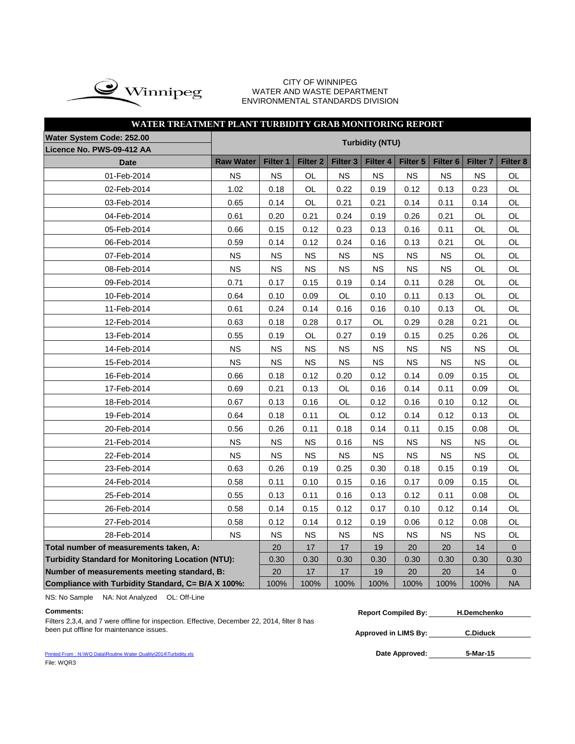

#### CITY OF WINNIPEG WATER AND WASTE DEPARTMENT ENVIRONMENTAL STANDARDS DIVISION

| WATER TREATMENT PLANT TURBIDITY GRAB MONITORING REPORT   |                  |           |                     |                 |                        |           |                     |                 |                |
|----------------------------------------------------------|------------------|-----------|---------------------|-----------------|------------------------|-----------|---------------------|-----------------|----------------|
| Water System Code: 252.00                                |                  |           |                     |                 | <b>Turbidity (NTU)</b> |           |                     |                 |                |
| Licence No. PWS-09-412 AA                                |                  |           |                     |                 |                        |           |                     |                 |                |
| <b>Date</b>                                              | <b>Raw Water</b> | Filter 1  | Filter <sub>2</sub> | <b>Filter 3</b> | <b>Filter 4</b>        | Filter 5  | Filter <sub>6</sub> | <b>Filter 7</b> | Filter 8       |
| 01-Feb-2014                                              | <b>NS</b>        | <b>NS</b> | OL                  | <b>NS</b>       | <b>NS</b>              | <b>NS</b> | <b>NS</b>           | <b>NS</b>       | OL             |
| 02-Feb-2014                                              | 1.02             | 0.18      | OL                  | 0.22            | 0.19                   | 0.12      | 0.13                | 0.23            | <b>OL</b>      |
| 03-Feb-2014                                              | 0.65             | 0.14      | OL                  | 0.21            | 0.21                   | 0.14      | 0.11                | 0.14            | OL             |
| 04-Feb-2014                                              | 0.61             | 0.20      | 0.21                | 0.24            | 0.19                   | 0.26      | 0.21                | OL              | <b>OL</b>      |
| 05-Feb-2014                                              | 0.66             | 0.15      | 0.12                | 0.23            | 0.13                   | 0.16      | 0.11                | OL              | OL             |
| 06-Feb-2014                                              | 0.59             | 0.14      | 0.12                | 0.24            | 0.16                   | 0.13      | 0.21                | OL              | OL             |
| 07-Feb-2014                                              | <b>NS</b>        | <b>NS</b> | <b>NS</b>           | NS.             | <b>NS</b>              | ΝS        | <b>NS</b>           | OL              | OL             |
| 08-Feb-2014                                              | <b>NS</b>        | ΝS        | NS.                 | ΝS              | <b>NS</b>              | ΝS        | ΝS                  | OL              | OL             |
| 09-Feb-2014                                              | 0.71             | 0.17      | 0.15                | 0.19            | 0.14                   | 0.11      | 0.28                | OL              | OL             |
| 10-Feb-2014                                              | 0.64             | 0.10      | 0.09                | OL              | 0.10                   | 0.11      | 0.13                | OL              | OL             |
| 11-Feb-2014                                              | 0.61             | 0.24      | 0.14                | 0.16            | 0.16                   | 0.10      | 0.13                | OL              | <b>OL</b>      |
| 12-Feb-2014                                              | 0.63             | 0.18      | 0.28                | 0.17            | <b>OL</b>              | 0.29      | 0.28                | 0.21            | OL             |
| 13-Feb-2014                                              | 0.55             | 0.19      | OL                  | 0.27            | 0.19                   | 0.15      | 0.25                | 0.26            | OL             |
| 14-Feb-2014                                              | <b>NS</b>        | <b>NS</b> | NS                  | <b>NS</b>       | <b>NS</b>              | <b>NS</b> | <b>NS</b>           | <b>NS</b>       | OL             |
| 15-Feb-2014                                              | <b>NS</b>        | <b>NS</b> | NS                  | <b>NS</b>       | <b>NS</b>              | <b>NS</b> | <b>NS</b>           | <b>NS</b>       | OL             |
| 16-Feb-2014                                              | 0.66             | 0.18      | 0.12                | 0.20            | 0.12                   | 0.14      | 0.09                | 0.15            | OL             |
| 17-Feb-2014                                              | 0.69             | 0.21      | 0.13                | OL              | 0.16                   | 0.14      | 0.11                | 0.09            | OL             |
| 18-Feb-2014                                              | 0.67             | 0.13      | 0.16                | OL              | 0.12                   | 0.16      | 0.10                | 0.12            | OL             |
| 19-Feb-2014                                              | 0.64             | 0.18      | 0.11                | OL              | 0.12                   | 0.14      | 0.12                | 0.13            | OL             |
| 20-Feb-2014                                              | 0.56             | 0.26      | 0.11                | 0.18            | 0.14                   | 0.11      | 0.15                | 0.08            | OL             |
| 21-Feb-2014                                              | <b>NS</b>        | <b>NS</b> | <b>NS</b>           | 0.16            | ΝS                     | <b>NS</b> | ΝS                  | NS              | OL             |
| 22-Feb-2014                                              | <b>NS</b>        | <b>NS</b> | NS                  | <b>NS</b>       | <b>NS</b>              | <b>NS</b> | <b>NS</b>           | <b>NS</b>       | OL             |
| 23-Feb-2014                                              | 0.63             | 0.26      | 0.19                | 0.25            | 0.30                   | 0.18      | 0.15                | 0.19            | OL             |
| 24-Feb-2014                                              | 0.58             | 0.11      | 0.10                | 0.15            | 0.16                   | 0.17      | 0.09                | 0.15            | OL             |
| 25-Feb-2014                                              | 0.55             | 0.13      | 0.11                | 0.16            | 0.13                   | 0.12      | 0.11                | 0.08            | OL             |
| 26-Feb-2014                                              | 0.58             | 0.14      | 0.15                | 0.12            | 0.17                   | 0.10      | 0.12                | 0.14            | OL             |
| 27-Feb-2014                                              | 0.58             | 0.12      | 0.14                | 0.12            | 0.19                   | 0.06      | 0.12                | 0.08            | OL             |
| 28-Feb-2014                                              | <b>NS</b>        | <b>NS</b> | NS                  | NS.             | <b>NS</b>              | <b>NS</b> | ΝS                  | <b>NS</b>       | OL             |
| Total number of measurements taken, A:                   |                  | 20        | 17                  | 17              | 19                     | 20        | 20                  | 14              | $\overline{0}$ |
| <b>Turbidity Standard for Monitoring Location (NTU):</b> |                  | 0.30      | 0.30                | 0.30            | 0.30                   | 0.30      | 0.30                | 0.30            | 0.30           |
| Number of measurements meeting standard, B:              |                  | 20        | 17                  | 17              | 19                     | 20        | 20                  | 14              | 0              |
| Compliance with Turbidity Standard, C= B/A X 100%:       |                  | 100%      | 100%                | 100%            | 100%                   | 100%      | 100%                | 100%            | <b>NA</b>      |

NS: No Sample NA: Not Analyzed OL: Off-Line

**Approved in LIMS By:** been put offline for maintenance issues. **C.Diduck** Filters 2,3,4, and 7 were offline for inspection. Effective, December 22, 2014, filter 8 has been put offline for maintenance issues.

| <b>Comments:</b>                                                                             | <b>Report Compiled By:</b> | <b>H.Demchenko</b> |  |
|----------------------------------------------------------------------------------------------|----------------------------|--------------------|--|
| Filters 2,3,4, and 7 were offline for inspection. Effective, December 22, 2014, filter 8 has |                            |                    |  |

Date Approved: 5-Mar-15

[Printed From : N:\WQ Data\Routine Water Quality\2014\Turbidity.xls](C:/Documents and Settings/rgrossel/Local Settings/Temporary Internet Files/OLK13/Turbidity 2010.xls) File: WQR3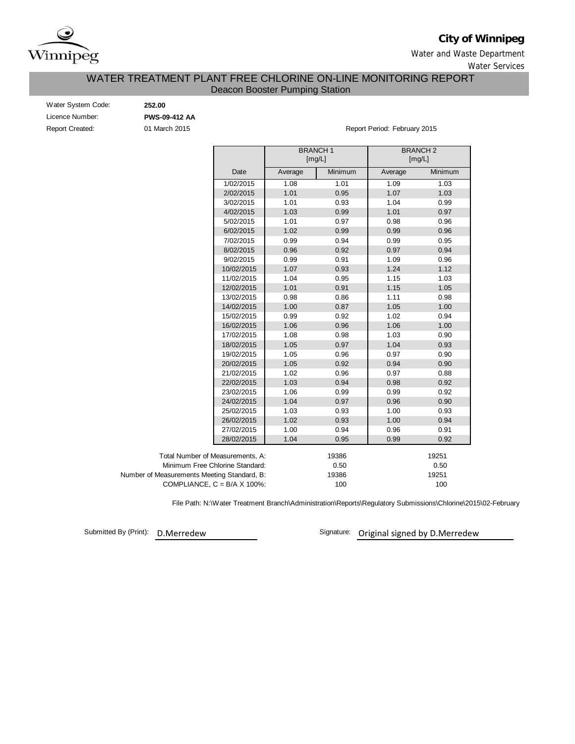

# **City of Winnipeg**

Water and Waste Department

Water Services

# Deacon Booster Pumping Station WATER TREATMENT PLANT FREE CHLORINE ON-LINE MONITORING REPORT

| Water System Code:     | 252.00        |
|------------------------|---------------|
| Licence Number:        | <b>PWS-09</b> |
| <b>Report Created:</b> | 01 Maro       |

Licence Number: **PWS-09-412 AA**

Pullet Created: 01 March 2015 Report Period: February 2015

|                                             |                                      |         | <b>BRANCH1</b><br>[mg/L] |         | <b>BRANCH 2</b><br>[mg/L] |
|---------------------------------------------|--------------------------------------|---------|--------------------------|---------|---------------------------|
|                                             | Date                                 | Average | Minimum                  | Average | Minimum                   |
|                                             | 1/02/2015                            | 1.08    | 1.01                     | 1.09    | 1.03                      |
|                                             | 2/02/2015                            | 1.01    | 0.95                     | 1.07    | 1.03                      |
|                                             | 3/02/2015                            | 1.01    | 0.93                     | 1.04    | 0.99                      |
|                                             | 4/02/2015                            | 1.03    | 0.99                     | 1.01    | 0.97                      |
|                                             | 5/02/2015                            | 1.01    | 0.97                     | 0.98    | 0.96                      |
|                                             | 6/02/2015                            | 1.02    | 0.99                     | 0.99    | 0.96                      |
|                                             | 7/02/2015                            | 0.99    | 0.94                     | 0.99    | 0.95                      |
|                                             | 8/02/2015                            | 0.96    | 0.92                     | 0.97    | 0.94                      |
|                                             | 9/02/2015                            | 0.99    | 0.91                     | 1.09    | 0.96                      |
|                                             | 10/02/2015                           | 1.07    | 0.93                     | 1.24    | 1.12                      |
|                                             | 11/02/2015                           | 1.04    | 0.95                     | 1.15    | 1.03                      |
|                                             | 12/02/2015                           | 1.01    | 0.91                     | 1.15    | 1.05                      |
|                                             | 13/02/2015                           | 0.98    | 0.86                     | 1.11    | 0.98                      |
|                                             | 14/02/2015                           | 1.00    | 0.87                     | 1.05    | 1.00                      |
|                                             | 15/02/2015                           | 0.99    | 0.92                     | 1.02    | 0.94                      |
|                                             | 16/02/2015                           | 1.06    | 0.96                     | 1.06    | 1.00                      |
|                                             | 17/02/2015                           | 1.08    | 0.98                     | 1.03    | 0.90                      |
|                                             | 18/02/2015                           | 1.05    | 0.97                     | 1.04    | 0.93                      |
|                                             | 19/02/2015                           | 1.05    | 0.96                     | 0.97    | 0.90                      |
|                                             | 20/02/2015                           | 1.05    | 0.92                     | 0.94    | 0.90                      |
|                                             | 21/02/2015                           | 1.02    | 0.96                     | 0.97    | 0.88                      |
|                                             | 22/02/2015                           | 1.03    | 0.94                     | 0.98    | 0.92                      |
|                                             | 23/02/2015                           | 1.06    | 0.99                     | 0.99    | 0.92                      |
|                                             | 24/02/2015                           | 1.04    | 0.97                     | 0.96    | 0.90                      |
|                                             | 25/02/2015                           | 1.03    | 0.93                     | 1.00    | 0.93                      |
|                                             | 26/02/2015                           | 1.02    | 0.93                     | 1.00    | 0.94                      |
|                                             | 27/02/2015                           | 1.00    | 0.94                     | 0.96    | 0.91                      |
|                                             | 28/02/2015                           | 1.04    | 0.95                     | 0.99    | 0.92                      |
| Total Number of Measurements, A:            |                                      |         | 19386                    |         | 19251                     |
|                                             | Minimum Free Chlorine Standard:      |         | 0.50                     |         | 0.50                      |
| Number of Measurements Meeting Standard, B: |                                      |         | 19386                    |         | 19251                     |
|                                             | COMPLIANCE, $C = B/A \times 100\%$ : |         | 100                      |         | 100                       |

File Path: N:\Water Treatment Branch\Administration\Reports\Regulatory Submissions\Chlorine\2015\02-February

Submitted By (Print): D.Merredew

Signature: Original signed by D.Merredew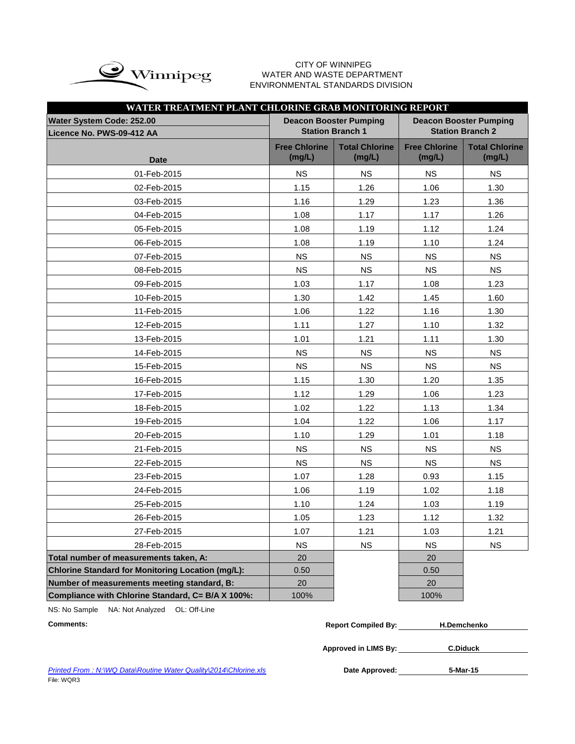

#### CITY OF WINNIPEG  $\mathrm{upe}$  water and waste department ENVIRONMENTAL STANDARDS DIVISION

| WATER TREATMENT PLANT CHLORINE GRAB MONITORING REPORT  |                                |                                                          |                                |                                                          |
|--------------------------------------------------------|--------------------------------|----------------------------------------------------------|--------------------------------|----------------------------------------------------------|
| Water System Code: 252.00<br>Licence No. PWS-09-412 AA |                                | <b>Deacon Booster Pumping</b><br><b>Station Branch 1</b> |                                | <b>Deacon Booster Pumping</b><br><b>Station Branch 2</b> |
| <b>Date</b>                                            | <b>Free Chlorine</b><br>(mg/L) | <b>Total Chlorine</b><br>(mg/L)                          | <b>Free Chlorine</b><br>(mg/L) | <b>Total Chlorine</b><br>(mg/L)                          |
| 01-Feb-2015                                            | <b>NS</b>                      | <b>NS</b>                                                | <b>NS</b>                      | <b>NS</b>                                                |
| 02-Feb-2015                                            | 1.15                           | 1.26                                                     | 1.06                           | 1.30                                                     |
| 03-Feb-2015                                            | 1.16                           | 1.29                                                     | 1.23                           | 1.36                                                     |
| 04-Feb-2015                                            | 1.08                           | 1.17                                                     | 1.17                           | 1.26                                                     |
| 05-Feb-2015                                            | 1.08                           | 1.19                                                     | 1.12                           | 1.24                                                     |
| 06-Feb-2015                                            | 1.08                           | 1.19                                                     | 1.10                           | 1.24                                                     |
| 07-Feb-2015                                            | <b>NS</b>                      | <b>NS</b>                                                | <b>NS</b>                      | <b>NS</b>                                                |
| 08-Feb-2015                                            | <b>NS</b>                      | <b>NS</b>                                                | <b>NS</b>                      | <b>NS</b>                                                |
| 09-Feb-2015                                            | 1.03                           | 1.17                                                     | 1.08                           | 1.23                                                     |
| 10-Feb-2015                                            | 1.30                           | 1.42                                                     | 1.45                           | 1.60                                                     |
| 11-Feb-2015                                            | 1.06                           | 1.22                                                     | 1.16                           | 1.30                                                     |
| 12-Feb-2015                                            | 1.11                           | 1.27                                                     | 1.10                           | 1.32                                                     |
| 13-Feb-2015                                            | 1.01                           | 1.21                                                     | 1.11                           | 1.30                                                     |
| 14-Feb-2015                                            | <b>NS</b>                      | <b>NS</b>                                                | <b>NS</b>                      | <b>NS</b>                                                |
| 15-Feb-2015                                            | <b>NS</b>                      | <b>NS</b>                                                | <b>NS</b>                      | <b>NS</b>                                                |
| 16-Feb-2015                                            | 1.15                           | 1.30                                                     | 1.20                           | 1.35                                                     |
| 17-Feb-2015                                            | 1.12                           | 1.29                                                     | 1.06                           | 1.23                                                     |
| 18-Feb-2015                                            | 1.02                           | 1.22                                                     | 1.13                           | 1.34                                                     |
| 19-Feb-2015                                            | 1.04                           | 1.22                                                     | 1.06                           | 1.17                                                     |
| 20-Feb-2015                                            | 1.10                           | 1.29                                                     | 1.01                           | 1.18                                                     |
| 21-Feb-2015                                            | <b>NS</b>                      | <b>NS</b>                                                | <b>NS</b>                      | <b>NS</b>                                                |
| 22-Feb-2015                                            | <b>NS</b>                      | <b>NS</b>                                                | <b>NS</b>                      | <b>NS</b>                                                |
| 23-Feb-2015                                            | 1.07                           | 1.28                                                     | 0.93                           | 1.15                                                     |
| 24-Feb-2015                                            | 1.06                           | 1.19                                                     | 1.02                           | 1.18                                                     |
| 25-Feb-2015                                            | 1.10                           | 1.24                                                     | 1.03                           | 1.19                                                     |
| 26-Feb-2015                                            | 1.05                           | 1.23                                                     | 1.12                           | 1.32                                                     |
| 27-Feb-2015                                            | 1.07                           | 1.21                                                     | 1.03                           | 1.21                                                     |
| 28-Feb-2015                                            | <b>NS</b>                      | <b>NS</b>                                                | <b>NS</b>                      | <b>NS</b>                                                |
| Total number of measurements taken, A:                 | 20                             |                                                          | 20                             |                                                          |
| Chlorine Standard for Monitoring Location (mg/L):      | 0.50                           |                                                          | 0.50                           |                                                          |
| Number of measurements meeting standard, B:            | 20                             |                                                          | 20                             |                                                          |
| Compliance with Chlorine Standard, C= B/A X 100%:      | 100%                           |                                                          | 100%                           |                                                          |

NS: No Sample NA: Not Analyzed OL: Off-Line

 $Comments:$ 

| <b>Report Compiled By:</b> | <b>H.Demchenko</b> |  |
|----------------------------|--------------------|--|
|                            |                    |  |
| Approved in LIMS By:       | <b>C.Diduck</b>    |  |

**Printed From : N:\WQ Data\Routine Water Quality\2014\Chlorine.xls** File: WQR3

**5-Mar-15**